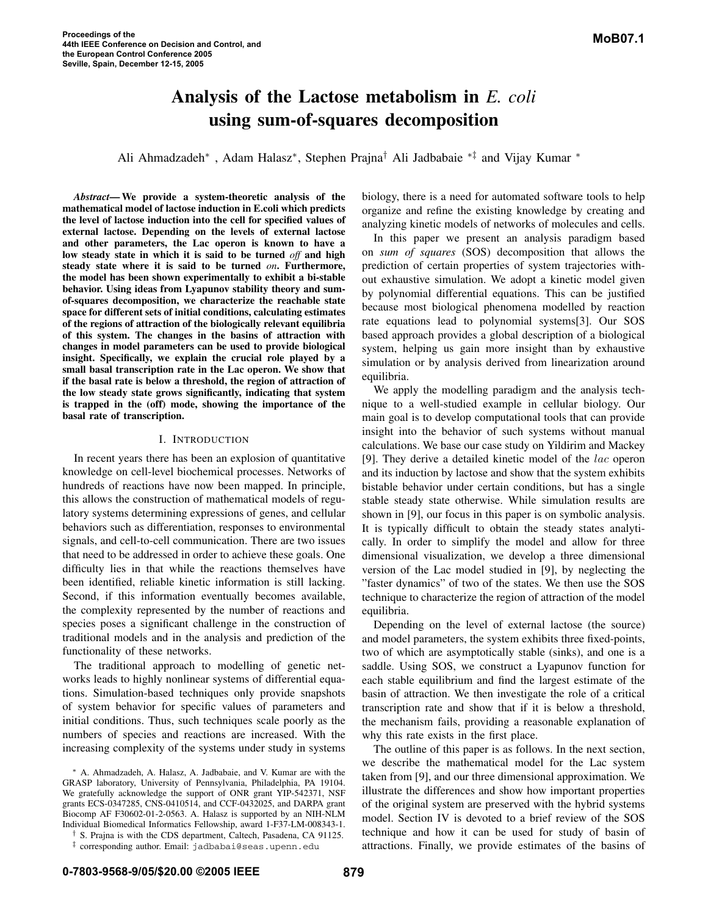# **Analysis of the Lactose metabolism in** *E. coli* **using sum-of-squares decomposition**

Ali Ahmadzadeh∗ , Adam Halasz∗, Stephen Prajna† Ali Jadbabaie ∗‡ and Vijay Kumar ∗

*Abstract***— We provide a system-theoretic analysis of the mathematical model of lactose induction in E.coli which predicts the level of lactose induction into the cell for specified values of external lactose. Depending on the levels of external lactose and other parameters, the Lac operon is known to have a low steady state in which it is said to be turned** *off* **and high steady state where it is said to be turned** *on***. Furthermore, the model has been shown experimentally to exhibit a bi-stable behavior. Using ideas from Lyapunov stability theory and sumof-squares decomposition, we characterize the reachable state space for different sets of initial conditions, calculating estimates of the regions of attraction of the biologically relevant equilibria of this system. The changes in the basins of attraction with changes in model parameters can be used to provide biological insight. Specifically, we explain the crucial role played by a small basal transcription rate in the Lac operon. We show that if the basal rate is below a threshold, the region of attraction of the low steady state grows significantly, indicating that system is trapped in the (off) mode, showing the importance of the basal rate of transcription.**

# I. INTRODUCTION

In recent years there has been an explosion of quantitative knowledge on cell-level biochemical processes. Networks of hundreds of reactions have now been mapped. In principle, this allows the construction of mathematical models of regulatory systems determining expressions of genes, and cellular behaviors such as differentiation, responses to environmental signals, and cell-to-cell communication. There are two issues that need to be addressed in order to achieve these goals. One difficulty lies in that while the reactions themselves have been identified, reliable kinetic information is still lacking. Second, if this information eventually becomes available, the complexity represented by the number of reactions and species poses a significant challenge in the construction of traditional models and in the analysis and prediction of the functionality of these networks.

The traditional approach to modelling of genetic networks leads to highly nonlinear systems of differential equations. Simulation-based techniques only provide snapshots of system behavior for specific values of parameters and initial conditions. Thus, such techniques scale poorly as the numbers of species and reactions are increased. With the increasing complexity of the systems under study in systems

† S. Prajna is with the CDS department, Caltech, Pasadena, CA 91125.

biology, there is a need for automated software tools to help organize and refine the existing knowledge by creating and analyzing kinetic models of networks of molecules and cells.

In this paper we present an analysis paradigm based on *sum of squares* (SOS) decomposition that allows the prediction of certain properties of system trajectories without exhaustive simulation. We adopt a kinetic model given by polynomial differential equations. This can be justified because most biological phenomena modelled by reaction rate equations lead to polynomial systems[3]. Our SOS based approach provides a global description of a biological system, helping us gain more insight than by exhaustive simulation or by analysis derived from linearization around equilibria.

We apply the modelling paradigm and the analysis technique to a well-studied example in cellular biology. Our main goal is to develop computational tools that can provide insight into the behavior of such systems without manual calculations. We base our case study on Yildirim and Mackey [9]. They derive a detailed kinetic model of the *lac* operon and its induction by lactose and show that the system exhibits bistable behavior under certain conditions, but has a single stable steady state otherwise. While simulation results are shown in [9], our focus in this paper is on symbolic analysis. It is typically difficult to obtain the steady states analytically. In order to simplify the model and allow for three dimensional visualization, we develop a three dimensional version of the Lac model studied in [9], by neglecting the "faster dynamics" of two of the states. We then use the SOS technique to characterize the region of attraction of the model equilibria.

Depending on the level of external lactose (the source) and model parameters, the system exhibits three fixed-points, two of which are asymptotically stable (sinks), and one is a saddle. Using SOS, we construct a Lyapunov function for each stable equilibrium and find the largest estimate of the basin of attraction. We then investigate the role of a critical transcription rate and show that if it is below a threshold, the mechanism fails, providing a reasonable explanation of why this rate exists in the first place.

The outline of this paper is as follows. In the next section, we describe the mathematical model for the Lac system taken from [9], and our three dimensional approximation. We illustrate the differences and show how important properties of the original system are preserved with the hybrid systems model. Section IV is devoted to a brief review of the SOS technique and how it can be used for study of basin of attractions. Finally, we provide estimates of the basins of

<sup>∗</sup> A. Ahmadzadeh, A. Halasz, A. Jadbabaie, and V. Kumar are with the GRASP laboratory, University of Pennsylvania, Philadelphia, PA 19104. We gratefully acknowledge the support of ONR grant YIP-542371, NSF grants ECS-0347285, CNS-0410514, and CCF-0432025, and DARPA grant Biocomp AF F30602-01-2-0563. A. Halasz is supported by an NIH-NLM Individual Biomedical Informatics Fellowship, award 1-F37-LM-008343-1.

<sup>‡</sup> corresponding author. Email: jadbabai@seas.upenn.edu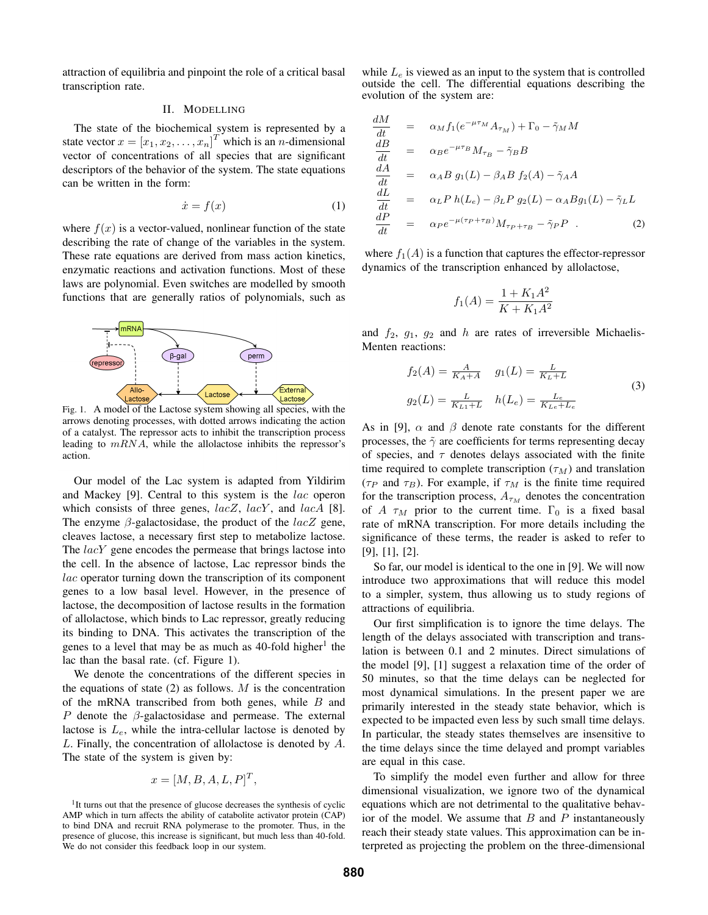attraction of equilibria and pinpoint the role of a critical basal transcription rate.

# II. MODELLING

The state of the biochemical system is represented by a state vector  $x = [x_1, x_2, \ldots, x_n]^T$  which is an *n*-dimensional vector of concentrations of all species that are significant descriptors of the behavior of the system. The state equations can be written in the form:

$$
\dot{x} = f(x) \tag{1}
$$

where  $f(x)$  is a vector-valued, nonlinear function of the state describing the rate of change of the variables in the system. These rate equations are derived from mass action kinetics, enzymatic reactions and activation functions. Most of these laws are polynomial. Even switches are modelled by smooth functions that are generally ratios of polynomials, such as



Fig. 1. A model of the Lactose system showing all species, with the arrows denoting processes, with dotted arrows indicating the action of a catalyst. The repressor acts to inhibit the transcription process leading to  $mRNA$ , while the allolactose inhibits the repressor's action.

Our model of the Lac system is adapted from Yildirim and Mackey [9]. Central to this system is the *lac* operon which consists of three genes, *lacZ*, *lacY* , and *lacA* [8]. The enzyme *β*-galactosidase, the product of the *lacZ* gene, cleaves lactose, a necessary first step to metabolize lactose. The *lacY* gene encodes the permease that brings lactose into the cell. In the absence of lactose, Lac repressor binds the *lac* operator turning down the transcription of its component genes to a low basal level. However, in the presence of lactose, the decomposition of lactose results in the formation of allolactose, which binds to Lac repressor, greatly reducing its binding to DNA. This activates the transcription of the genes to a level that may be as much as  $40$ -fold higher<sup>1</sup> the lac than the basal rate. (cf. Figure 1).

We denote the concentrations of the different species in the equations of state  $(2)$  as follows. *M* is the concentration of the mRNA transcribed from both genes, while *B* and *P* denote the *β*-galactosidase and permease. The external lactose is *L*e, while the intra-cellular lactose is denoted by *L*. Finally, the concentration of allolactose is denoted by *A*. The state of the system is given by:

$$
x = [M, B, A, L, P]^T,
$$

while  $L_e$  is viewed as an input to the system that is controlled outside the cell. The differential equations describing the evolution of the system are:

$$
\frac{dM}{dt} = \alpha_M f_1 (e^{-\mu \tau_M} A_{\tau_M}) + \Gamma_0 - \tilde{\gamma}_M M
$$
\n
$$
\frac{dB}{dt} = \alpha_B e^{-\mu \tau_B} M_{\tau_B} - \tilde{\gamma}_B B
$$
\n
$$
\frac{dA}{dt} = \alpha_A B g_1(L) - \beta_A B f_2(A) - \tilde{\gamma}_A A
$$
\n
$$
\frac{dL}{dt} = \alpha_L P h(L_e) - \beta_L P g_2(L) - \alpha_A B g_1(L) - \tilde{\gamma}_L L
$$
\n
$$
\frac{dP}{dt} = \alpha_P e^{-\mu(\tau_P + \tau_B)} M_{\tau_P + \tau_B} - \tilde{\gamma}_P P .
$$
\n(2)

where  $f_1(A)$  is a function that captures the effector-repressor dynamics of the transcription enhanced by allolactose,

$$
f_1(A) = \frac{1 + K_1 A^2}{K + K_1 A^2}
$$

and  $f_2$ ,  $g_1$ ,  $g_2$  and  $h$  are rates of irreversible Michaelis-Menten reactions:

$$
f_2(A) = \frac{A}{K_A + A} \quad g_1(L) = \frac{L}{K_L + L}
$$
  

$$
g_2(L) = \frac{L}{K_{L1} + L} \quad h(L_e) = \frac{L_e}{K_{Le} + L_e}
$$
 (3)

As in [9],  $\alpha$  and  $\beta$  denote rate constants for the different processes, the  $\tilde{\gamma}$  are coefficients for terms representing decay of species, and *τ* denotes delays associated with the finite time required to complete transcription  $(\tau_M)$  and translation ( $\tau_P$  and  $\tau_B$ ). For example, if  $\tau_M$  is the finite time required for the transcription process,  $A_{\tau_M}$  denotes the concentration of *A*  $\tau_M$  prior to the current time.  $\Gamma_0$  is a fixed basal rate of mRNA transcription. For more details including the significance of these terms, the reader is asked to refer to [9], [1], [2].

So far, our model is identical to the one in [9]. We will now introduce two approximations that will reduce this model to a simpler, system, thus allowing us to study regions of attractions of equilibria.

Our first simplification is to ignore the time delays. The length of the delays associated with transcription and translation is between 0.1 and 2 minutes. Direct simulations of the model [9], [1] suggest a relaxation time of the order of 50 minutes, so that the time delays can be neglected for most dynamical simulations. In the present paper we are primarily interested in the steady state behavior, which is expected to be impacted even less by such small time delays. In particular, the steady states themselves are insensitive to the time delays since the time delayed and prompt variables are equal in this case.

To simplify the model even further and allow for three dimensional visualization, we ignore two of the dynamical equations which are not detrimental to the qualitative behavior of the model. We assume that *B* and *P* instantaneously reach their steady state values. This approximation can be interpreted as projecting the problem on the three-dimensional

<sup>&</sup>lt;sup>1</sup>It turns out that the presence of glucose decreases the synthesis of cyclic AMP which in turn affects the ability of catabolite activator protein (CAP) to bind DNA and recruit RNA polymerase to the promoter. Thus, in the presence of glucose, this increase is significant, but much less than 40-fold. We do not consider this feedback loop in our system.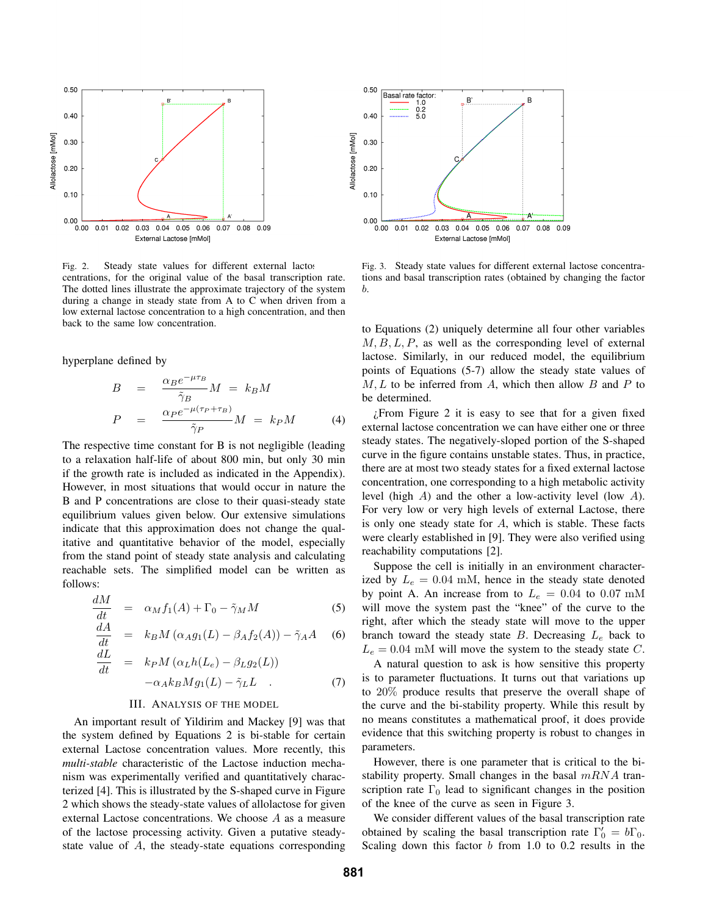

Fig. 2. Steady state values for different external lactos centrations, for the original value of the basal transcription rate. The dotted lines illustrate the approximate trajectory of the system during a change in steady state from A to C when driven from a low external lactose concentration to a high concentration, and then back to the same low concentration.

hyperplane defined by

$$
B = \frac{\alpha_B e^{-\mu \tau_B}}{\tilde{\gamma}_B} M = k_B M
$$

$$
P = \frac{\alpha_P e^{-\mu(\tau_P + \tau_B)}}{\tilde{\gamma}_P} M = k_P M \tag{4}
$$

The respective time constant for B is not negligible (leading to a relaxation half-life of about 800 min, but only 30 min if the growth rate is included as indicated in the Appendix). However, in most situations that would occur in nature the B and P concentrations are close to their quasi-steady state equilibrium values given below. Our extensive simulations indicate that this approximation does not change the qualitative and quantitative behavior of the model, especially from the stand point of steady state analysis and calculating reachable sets. The simplified model can be written as follows:

$$
\frac{dM}{dt} = \alpha_M f_1(A) + \Gamma_0 - \tilde{\gamma}_M M \tag{5}
$$

$$
\frac{dA}{dt} = k_B M \left( \alpha_A g_1(L) - \beta_A f_2(A) \right) - \tilde{\gamma}_A A \quad (6)
$$

$$
\frac{dL}{dt} = k_P M \left( \alpha_L h(L_e) - \beta_L g_2(L) \right) \n- \alpha_A k_B M g_1(L) - \tilde{\gamma}_L L \quad .
$$
\n(7)

# III. ANALYSIS OF THE MODEL

An important result of Yildirim and Mackey [9] was that the system defined by Equations 2 is bi-stable for certain external Lactose concentration values. More recently, this *multi-stable* characteristic of the Lactose induction mechanism was experimentally verified and quantitatively characterized [4]. This is illustrated by the S-shaped curve in Figure 2 which shows the steady-state values of allolactose for given external Lactose concentrations. We choose *A* as a measure of the lactose processing activity. Given a putative steadystate value of *A*, the steady-state equations corresponding



Fig. 3. Steady state values for different external lactose concentrations and basal transcription rates (obtained by changing the factor b.

to Equations (2) uniquely determine all four other variables *M, B, L, P*, as well as the corresponding level of external lactose. Similarly, in our reduced model, the equilibrium points of Equations (5-7) allow the steady state values of *M,L* to be inferred from *A*, which then allow *B* and *P* to be determined.

¿From Figure 2 it is easy to see that for a given fixed external lactose concentration we can have either one or three steady states. The negatively-sloped portion of the S-shaped curve in the figure contains unstable states. Thus, in practice, there are at most two steady states for a fixed external lactose concentration, one corresponding to a high metabolic activity level (high *A*) and the other a low-activity level (low *A*). For very low or very high levels of external Lactose, there is only one steady state for *A*, which is stable. These facts were clearly established in [9]. They were also verified using reachability computations [2].

Suppose the cell is initially in an environment characterized by  $L_e = 0.04$  mM, hence in the steady state denoted by point A. An increase from to  $L_e = 0.04$  to 0.07 mM will move the system past the "knee" of the curve to the right, after which the steady state will move to the upper branch toward the steady state *B*. Decreasing *L*<sup>e</sup> back to  $L_e = 0.04$  mM will move the system to the steady state *C*.

A natural question to ask is how sensitive this property is to parameter fluctuations. It turns out that variations up to 20% produce results that preserve the overall shape of the curve and the bi-stability property. While this result by no means constitutes a mathematical proof, it does provide evidence that this switching property is robust to changes in parameters.

However, there is one parameter that is critical to the bistability property. Small changes in the basal *mRNA* transcription rate  $\Gamma_0$  lead to significant changes in the position of the knee of the curve as seen in Figure 3.

We consider different values of the basal transcription rate obtained by scaling the basal transcription rate  $\Gamma'_0 = b\Gamma_0$ . Scaling down this factor *b* from 1.0 to 0.2 results in the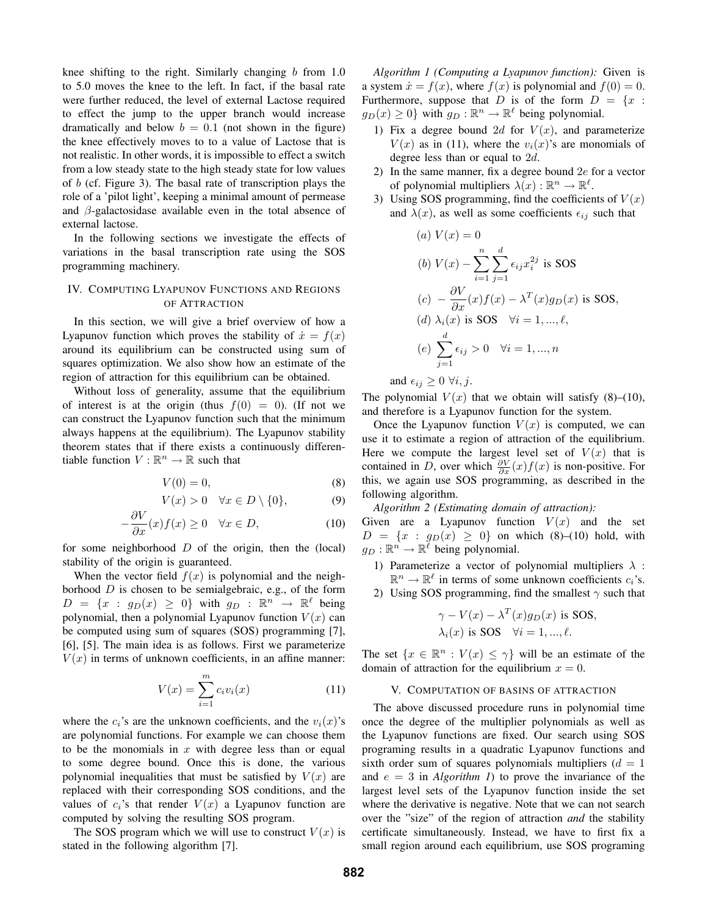knee shifting to the right. Similarly changing *b* from 1.0 to 5.0 moves the knee to the left. In fact, if the basal rate were further reduced, the level of external Lactose required to effect the jump to the upper branch would increase dramatically and below  $b = 0.1$  (not shown in the figure) the knee effectively moves to to a value of Lactose that is not realistic. In other words, it is impossible to effect a switch from a low steady state to the high steady state for low values of *b* (cf. Figure 3). The basal rate of transcription plays the role of a 'pilot light', keeping a minimal amount of permease and *β*-galactosidase available even in the total absence of external lactose.

In the following sections we investigate the effects of variations in the basal transcription rate using the SOS programming machinery.

# IV. COMPUTING LYAPUNOV FUNCTIONS AND REGIONS OF ATTRACTION

In this section, we will give a brief overview of how a Lyapunov function which proves the stability of  $\dot{x} = f(x)$ around its equilibrium can be constructed using sum of squares optimization. We also show how an estimate of the region of attraction for this equilibrium can be obtained.

Without loss of generality, assume that the equilibrium of interest is at the origin (thus  $f(0) = 0$ ). (If not we can construct the Lyapunov function such that the minimum always happens at the equilibrium). The Lyapunov stability theorem states that if there exists a continuously differentiable function  $V : \mathbb{R}^n \to \mathbb{R}$  such that

$$
V(0) = 0,\t\t(8)
$$

$$
V(x) > 0 \quad \forall x \in D \setminus \{0\},\tag{9}
$$

$$
-\frac{\partial V}{\partial x}(x)f(x) \ge 0 \quad \forall x \in D,
$$
\n(10)

for some neighborhood *D* of the origin, then the (local) stability of the origin is guaranteed.

When the vector field  $f(x)$  is polynomial and the neighborhood *D* is chosen to be semialgebraic, e.g., of the form  $D = \{x : g_D(x) \geq 0\}$  with  $g_D : \mathbb{R}^n \to \mathbb{R}^{\ell}$  being polynomial, then a polynomial Lyapunov function  $V(x)$  can be computed using sum of squares (SOS) programming [7], [6], [5]. The main idea is as follows. First we parameterize  $V(x)$  in terms of unknown coefficients, in an affine manner:

$$
V(x) = \sum_{i=1}^{m} c_i v_i(x)
$$
 (11)

where the  $c_i$ 's are the unknown coefficients, and the  $v_i(x)$ 's are polynomial functions. For example we can choose them to be the monomials in *x* with degree less than or equal to some degree bound. Once this is done, the various polynomial inequalities that must be satisfied by  $V(x)$  are replaced with their corresponding SOS conditions, and the values of  $c_i$ 's that render  $V(x)$  a Lyapunov function are computed by solving the resulting SOS program.

The SOS program which we will use to construct  $V(x)$  is stated in the following algorithm [7].

*Algorithm 1 (Computing a Lyapunov function):* Given is a system  $\dot{x} = f(x)$ , where  $f(x)$  is polynomial and  $f(0) = 0$ . Furthermore, suppose that *D* is of the form  $D = \{x :$  $g_D(x) \ge 0$ } with  $g_D : \mathbb{R}^n \to \mathbb{R}^\ell$  being polynomial.

- 1) Fix a degree bound 2*d* for  $V(x)$ , and parameterize  $V(x)$  as in (11), where the  $v_i(x)$ 's are monomials of degree less than or equal to 2*d*.
- 2) In the same manner, fix a degree bound 2*e* for a vector of polynomial multipliers  $\lambda(x): \mathbb{R}^n \to \mathbb{R}^{\ell}$ .
- 3) Using SOS programming, find the coefficients of  $V(x)$ and  $\lambda(x)$ , as well as some coefficients  $\epsilon_{ij}$  such that

(a) 
$$
V(x) = 0
$$
  
\n(b)  $V(x) - \sum_{i=1}^{n} \sum_{j=1}^{d} \epsilon_{ij} x_i^{2j}$  is SOS  
\n(c)  $-\frac{\partial V}{\partial x}(x) f(x) - \lambda^T(x) g_D(x)$  is SOS,  
\n(d)  $\lambda_i(x)$  is SOS  $\forall i = 1, ..., \ell$ ,  
\n(e)  $\sum_{j=1}^{d} \epsilon_{ij} > 0 \quad \forall i = 1, ..., n$ 

and  $\epsilon_{ij} \geq 0 \ \forall i, j$ .

The polynomial  $V(x)$  that we obtain will satisfy  $(8)$ – $(10)$ , and therefore is a Lyapunov function for the system.

Once the Lyapunov function  $V(x)$  is computed, we can use it to estimate a region of attraction of the equilibrium. Here we compute the largest level set of  $V(x)$  that is contained in *D*, over which  $\frac{\partial V}{\partial x}(x) f(x)$  is non-positive. For this, we again use SOS programming, as described in the following algorithm.

*Algorithm 2 (Estimating domain of attraction):*

Given are a Lyapunov function  $V(x)$  and the set  $D = \{x : g_D(x) \geq 0\}$  on which (8)–(10) hold, with  $g_D : \mathbb{R}^n \to \mathbb{R}^{\ell}$  being polynomial.

- 1) Parameterize a vector of polynomial multipliers *λ* :  $\mathbb{R}^n \to \mathbb{R}^\ell$  in terms of some unknown coefficients  $c_i$ 's.
- 2) Using SOS programming, find the smallest *γ* such that

$$
\gamma - V(x) - \lambda^{T}(x)g_{D}(x) \text{ is SOS,}
$$
  

$$
\lambda_{i}(x) \text{ is SOS} \quad \forall i = 1, ..., \ell.
$$

The set  $\{x \in \mathbb{R}^n : V(x) \leq \gamma\}$  will be an estimate of the domain of attraction for the equilibrium  $x = 0$ .

## V. COMPUTATION OF BASINS OF ATTRACTION

The above discussed procedure runs in polynomial time once the degree of the multiplier polynomials as well as the Lyapunov functions are fixed. Our search using SOS programing results in a quadratic Lyapunov functions and sixth order sum of squares polynomials multipliers  $(d = 1$ and *e* = 3 in *Algorithm 1*) to prove the invariance of the largest level sets of the Lyapunov function inside the set where the derivative is negative. Note that we can not search over the "size" of the region of attraction *and* the stability certificate simultaneously. Instead, we have to first fix a small region around each equilibrium, use SOS programing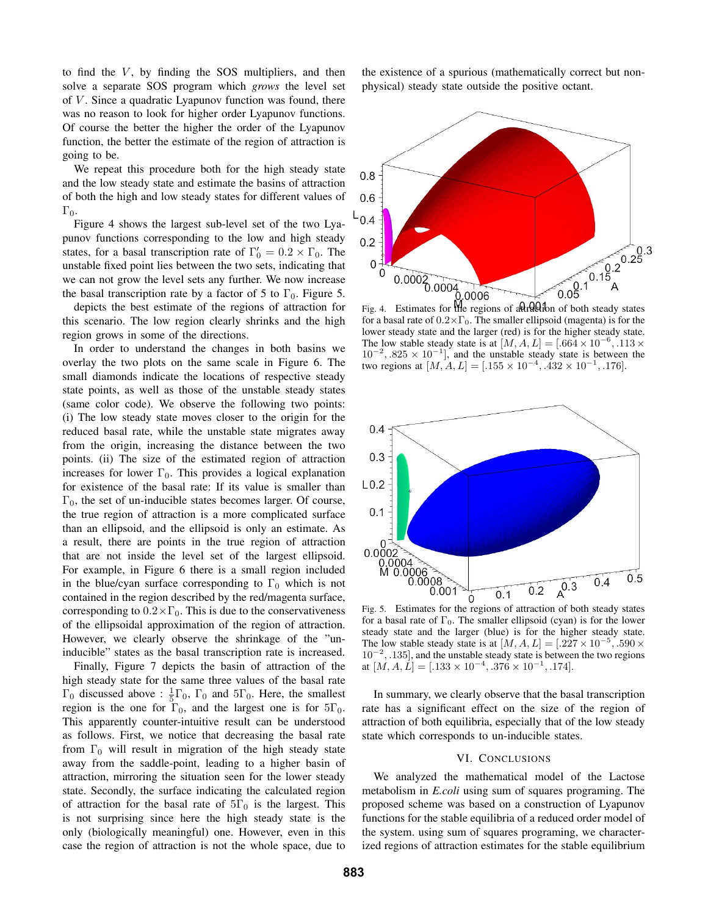to find the *V* , by finding the SOS multipliers, and then solve a separate SOS program which *grows* the level set of *V* . Since a quadratic Lyapunov function was found, there was no reason to look for higher order Lyapunov functions. Of course the better the higher the order of the Lyapunov function, the better the estimate of the region of attraction is going to be.

We repeat this procedure both for the high steady state and the low steady state and estimate the basins of attraction of both the high and low steady states for different values of  $Γ_0$ .

Figure 4 shows the largest sub-level set of the two Lyapunov functions corresponding to the low and high steady states, for a basal transcription rate of  $\Gamma'_0 = 0.2 \times \Gamma_0$ . The unstable fixed point lies between the two sets, indicating that we can not grow the level sets any further. We now increase the basal transcription rate by a factor of 5 to  $\Gamma_0$ . Figure 5.

depicts the best estimate of the regions of attraction for this scenario. The low region clearly shrinks and the high region grows in some of the directions.

In order to understand the changes in both basins we overlay the two plots on the same scale in Figure 6. The small diamonds indicate the locations of respective steady state points, as well as those of the unstable steady states (same color code). We observe the following two points: (i) The low steady state moves closer to the origin for the reduced basal rate, while the unstable state migrates away from the origin, increasing the distance between the two points. (ii) The size of the estimated region of attraction increases for lower  $\Gamma_0$ . This provides a logical explanation for existence of the basal rate: If its value is smaller than  $\Gamma_0$ , the set of un-inducible states becomes larger. Of course, the true region of attraction is a more complicated surface than an ellipsoid, and the ellipsoid is only an estimate. As a result, there are points in the true region of attraction that are not inside the level set of the largest ellipsoid. For example, in Figure 6 there is a small region included in the blue/cyan surface corresponding to  $\Gamma_0$  which is not contained in the region described by the red/magenta surface, corresponding to  $0.2 \times \Gamma_0$ . This is due to the conservativeness of the ellipsoidal approximation of the region of attraction. However, we clearly observe the shrinkage of the "uninducible" states as the basal transcription rate is increased.

Finally, Figure 7 depicts the basin of attraction of the high steady state for the same three values of the basal rate  $\Gamma_0$  discussed above :  $\frac{1}{5}\Gamma_0$ ,  $\Gamma_0$  and  $5\Gamma_0$ . Here, the smallest region is the one for  $\Gamma_0$ , and the largest one is for  $5\Gamma_0$ . This apparently counter-intuitive result can be understood as follows. First, we notice that decreasing the basal rate from  $\Gamma_0$  will result in migration of the high steady state away from the saddle-point, leading to a higher basin of attraction, mirroring the situation seen for the lower steady state. Secondly, the surface indicating the calculated region of attraction for the basal rate of  $5\Gamma_0$  is the largest. This is not surprising since here the high steady state is the only (biologically meaningful) one. However, even in this case the region of attraction is not the whole space, due to the existence of a spurious (mathematically correct but nonphysical) steady state outside the positive octant.



for a basal rate of  $0.2 \times \Gamma_0$ . The smaller ellipsoid (magenta) is for the lower steady state and the larger (red) is for the higher steady state. The low stable steady state is at  $[M, A, L] = [.664 \times 10^{-6}, .113 \times$  $10^{-2}$ , .825 ×  $10^{-1}$ ], and the unstable steady state is between the two regions at  $[M, A, L] = [.155 \times 10^{-4}, .432 \times 10^{-1}, .176]$ .



Fig. 5. Estimates for the regions of attraction of both steady states for a basal rate of  $\Gamma_0$ . The smaller ellipsoid (cyan) is for the lower steady state and the larger (blue) is for the higher steady state. The low stable steady state is at  $[M, A, L] =$  [.227 × 10<sup>-5</sup>, .590 ×  $10^{-2}$ , .135], and the unstable steady state is between the two regions at  $[M, A, L] = [.133 \times 10^{-4}, .376 \times 10^{-1}, .174]$ .

In summary, we clearly observe that the basal transcription rate has a significant effect on the size of the region of attraction of both equilibria, especially that of the low steady state which corresponds to un-inducible states.

### VI. CONCLUSIONS

We analyzed the mathematical model of the Lactose metabolism in *E.coli* using sum of squares programing. The proposed scheme was based on a construction of Lyapunov functions for the stable equilibria of a reduced order model of the system. using sum of squares programing, we characterized regions of attraction estimates for the stable equilibrium